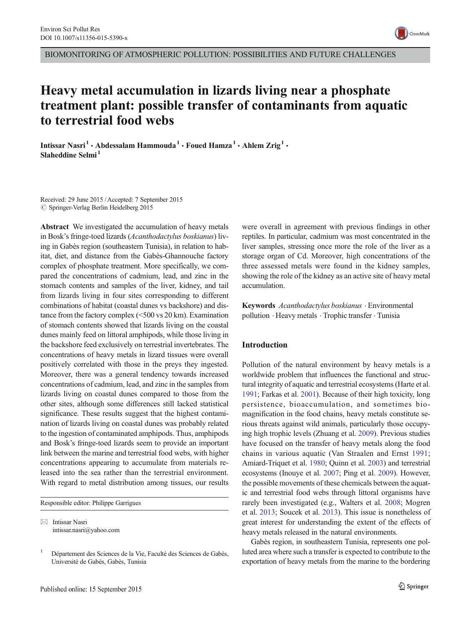

# Heavy metal accumulation in lizards living near a phosphate treatment plant: possible transfer of contaminants from aquatic to terrestrial food webs

Intissar Nasri<sup>1</sup> • Abdessalam Hammouda<sup>1</sup> • Foued Hamza<sup>1</sup> • Ahlem Zrig<sup>1</sup> • Slaheddine Selmi<sup>1</sup>

Received: 29 June 2015 /Accepted: 7 September 2015  $\oslash$  Springer-Verlag Berlin Heidelberg 2015

Abstract We investigated the accumulation of heavy metals in Bosk's fringe-toed lizards (Acanthodactylus boskianus) living in Gabès region (southeastern Tunisia), in relation to habitat, diet, and distance from the Gabès-Ghannouche factory complex of phosphate treatment. More specifically, we compared the concentrations of cadmium, lead, and zinc in the stomach contents and samples of the liver, kidney, and tail from lizards living in four sites corresponding to different combinations of habitat (coastal dunes vs backshore) and distance from the factory complex (<500 vs 20 km). Examination of stomach contents showed that lizards living on the coastal dunes mainly feed on littoral amphipods, while those living in the backshore feed exclusively on terrestrial invertebrates. The concentrations of heavy metals in lizard tissues were overall positively correlated with those in the preys they ingested. Moreover, there was a general tendency towards increased concentrations of cadmium, lead, and zinc in the samples from lizards living on coastal dunes compared to those from the other sites, although some differences still lacked statistical significance. These results suggest that the highest contamination of lizards living on coastal dunes was probably related to the ingestion of contaminated amphipods. Thus, amphipods and Bosk's fringe-toed lizards seem to provide an important link between the marine and terrestrial food webs, with higher concentrations appearing to accumulate from materials released into the sea rather than the terrestrial environment. With regard to metal distribution among tissues, our results

Responsible editor: Philippe Garrigues

 $\boxtimes$  Intissar Nasri intissar.nasri@yahoo.com

were overall in agreement with previous findings in other reptiles. In particular, cadmium was most concentrated in the liver samples, stressing once more the role of the liver as a storage organ of Cd. Moreover, high concentrations of the three assessed metals were found in the kidney samples, showing the role of the kidney as an active site of heavy metal accumulation.

Keywords Acanthodactylus boskianus . Environmental pollution . Heavy metals . Trophic transfer . Tunisia

## Introduction

Pollution of the natural environment by heavy metals is a worldwide problem that influences the functional and structural integrity of aquatic and terrestrial ecosystems (Harte et al. [1991;](#page-5-0) Farkas et al. [2001\)](#page-4-0). Because of their high toxicity, long persistence, bioaccumulation, and sometimes biomagnification in the food chains, heavy metals constitute serious threats against wild animals, particularly those occupying high trophic levels (Zhuang et al. [2009\)](#page-5-0). Previous studies have focused on the transfer of heavy metals along the food chains in various aquatic (Van Straalen and Ernst [1991;](#page-5-0) Amiard-Triquet et al. [1980](#page-4-0); Quinn et al. [2003](#page-5-0)) and terrestrial ecosystems (Inouye et al. [2007;](#page-5-0) Ping et al. [2009\)](#page-5-0). However, the possible movements of these chemicals between the aquatic and terrestrial food webs through littoral organisms have rarely been investigated (e.g., Walters et al. [2008;](#page-5-0) Mogren et al. [2013](#page-5-0); Soucek et al. [2013](#page-5-0)). This issue is nonetheless of great interest for understanding the extent of the effects of heavy metals released in the natural environments.

Gabès region, in southeastern Tunisia, represents one polluted area where such a transfer is expected to contribute to the exportation of heavy metals from the marine to the bordering



<sup>&</sup>lt;sup>1</sup> Département des Sciences de la Vie, Faculté des Sciences de Gabès, Université de Gabès, Gabès, Tunisia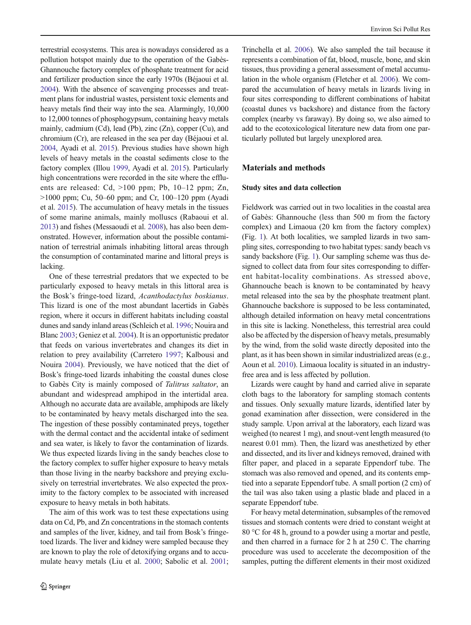terrestrial ecosystems. This area is nowadays considered as a pollution hotspot mainly due to the operation of the Gabès-Ghannouche factory complex of phosphate treatment for acid and fertilizer production since the early 1970s (Béjaoui et al. [2004\)](#page-4-0). With the absence of scavenging processes and treatment plans for industrial wastes, persistent toxic elements and heavy metals find their way into the sea. Alarmingly, 10,000 to 12,000 tonnes of phosphogypsum, containing heavy metals mainly, cadmium (Cd), lead (Pb), zinc (Zn), copper (Cu), and chromium (Cr), are released in the sea per day (Béjaoui et al. [2004,](#page-4-0) Ayadi et al. [2015](#page-4-0)). Previous studies have shown high levels of heavy metals in the coastal sediments close to the factory complex (Illou [1999,](#page-5-0) Ayadi et al. [2015\)](#page-4-0). Particularly high concentrations were recorded in the site where the effluents are released: Cd, >100 ppm; Pb, 10–12 ppm; Zn, >1000 ppm; Cu, 50–60 ppm; and Cr, 100–120 ppm (Ayadi et al. [2015](#page-4-0)). The accumulation of heavy metals in the tissues of some marine animals, mainly molluscs (Rabaoui et al. [2013\)](#page-5-0) and fishes (Messaoudi et al. [2008\)](#page-5-0), has also been demonstrated. However, information about the possible contamination of terrestrial animals inhabiting littoral areas through the consumption of contaminated marine and littoral preys is lacking.

One of these terrestrial predators that we expected to be particularly exposed to heavy metals in this littoral area is the Bosk's fringe-toed lizard, Acanthodactylus boskianus. This lizard is one of the most abundant lacertids in Gabès region, where it occurs in different habitats including coastal dunes and sandy inland areas (Schleich et al. [1996;](#page-5-0) Nouira and Blanc [2003](#page-5-0); Geniez et al. [2004](#page-5-0)). It is an opportunistic predator that feeds on various invertebrates and changes its diet in relation to prey availability (Carretero [1997;](#page-4-0) Kalbousi and Nouira [2004\)](#page-5-0). Previously, we have noticed that the diet of Bosk's fringe-toed lizards inhabiting the coastal dunes close to Gabès City is mainly composed of Talitrus saltator, an abundant and widespread amphipod in the intertidal area. Although no accurate data are available, amphipods are likely to be contaminated by heavy metals discharged into the sea. The ingestion of these possibly contaminated preys, together with the dermal contact and the accidental intake of sediment and sea water, is likely to favor the contamination of lizards. We thus expected lizards living in the sandy beaches close to the factory complex to suffer higher exposure to heavy metals than those living in the nearby backshore and preying exclusively on terrestrial invertebrates. We also expected the proximity to the factory complex to be associated with increased exposure to heavy metals in both habitats.

The aim of this work was to test these expectations using data on Cd, Pb, and Zn concentrations in the stomach contents and samples of the liver, kidney, and tail from Bosk's fringetoed lizards. The liver and kidney were sampled because they are known to play the role of detoxifying organs and to accumulate heavy metals (Liu et al. [2000;](#page-5-0) Sabolic et al. [2001](#page-5-0);

Trinchella et al. [2006](#page-5-0)). We also sampled the tail because it represents a combination of fat, blood, muscle, bone, and skin tissues, thus providing a general assessment of metal accumulation in the whole organism (Fletcher et al. [2006](#page-4-0)). We compared the accumulation of heavy metals in lizards living in four sites corresponding to different combinations of habitat (coastal dunes vs backshore) and distance from the factory complex (nearby vs faraway). By doing so, we also aimed to add to the ecotoxicological literature new data from one particularly polluted but largely unexplored area.

# Materials and methods

#### Study sites and data collection

Fieldwork was carried out in two localities in the coastal area of Gabès: Ghannouche (less than 500 m from the factory complex) and Limaoua (20 km from the factory complex) (Fig. [1](#page-2-0)). At both localities, we sampled lizards in two sampling sites, corresponding to two habitat types: sandy beach vs sandy backshore (Fig. [1](#page-2-0)). Our sampling scheme was thus designed to collect data from four sites corresponding to different habitat-locality combinations. As stressed above, Ghannouche beach is known to be contaminated by heavy metal released into the sea by the phosphate treatment plant. Ghannouche backshore is supposed to be less contaminated, although detailed information on heavy metal concentrations in this site is lacking. Nonetheless, this terrestrial area could also be affected by the dispersion of heavy metals, presumably by the wind, from the solid waste directly deposited into the plant, as it has been shown in similar industrialized areas (e.g., Aoun et al. [2010\)](#page-4-0). Limaoua locality is situated in an industryfree area and is less affected by pollution.

Lizards were caught by hand and carried alive in separate cloth bags to the laboratory for sampling stomach contents and tissues. Only sexually mature lizards, identified later by gonad examination after dissection, were considered in the study sample. Upon arrival at the laboratory, each lizard was weighed (to nearest 1 mg), and snout-vent length measured (to nearest 0.01 mm). Then, the lizard was anesthetized by ether and dissected, and its liver and kidneys removed, drained with filter paper, and placed in a separate Eppendorf tube. The stomach was also removed and opened, and its contents emptied into a separate Eppendorf tube. A small portion (2 cm) of the tail was also taken using a plastic blade and placed in a separate Eppendorf tube.

For heavy metal determination, subsamples of the removed tissues and stomach contents were dried to constant weight at 80 °C for 48 h, ground to a powder using a mortar and pestle, and then charred in a furnace for 2 h at 250 C. The charring procedure was used to accelerate the decomposition of the samples, putting the different elements in their most oxidized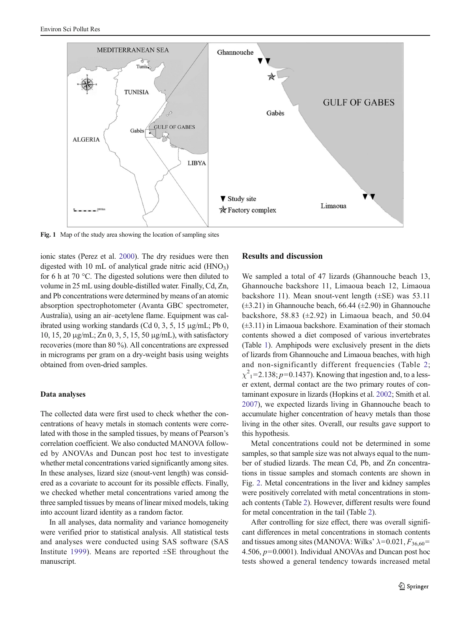<span id="page-2-0"></span>

Fig. 1 Map of the study area showing the location of sampling sites

ionic states (Perez et al. [2000](#page-5-0)). The dry residues were then digested with 10 mL of analytical grade nitric acid  $(HNO<sub>3</sub>)$ for 6 h at 70 °C. The digested solutions were then diluted to volume in 25 mL using double-distilled water. Finally, Cd, Zn, and Pb concentrations were determined by means of an atomic absorption spectrophotometer (Avanta GBC spectrometer, Australia), using an air–acetylene flame. Equipment was calibrated using working standards (Cd 0, 3, 5, 15  $\mu$ g/mL; Pb 0, 10, 15, 20 μg/mL; Zn 0, 3, 5, 15, 50 μg/mL), with satisfactory recoveries (more than 80 %). All concentrations are expressed in micrograms per gram on a dry-weight basis using weights obtained from oven-dried samples.

### Data analyses

The collected data were first used to check whether the concentrations of heavy metals in stomach contents were correlated with those in the sampled tissues, by means of Pearson's correlation coefficient. We also conducted MANOVA followed by ANOVAs and Duncan post hoc test to investigate whether metal concentrations varied significantly among sites. In these analyses, lizard size (snout-vent length) was considered as a covariate to account for its possible effects. Finally, we checked whether metal concentrations varied among the three sampled tissues by means of linear mixed models, taking into account lizard identity as a random factor.

In all analyses, data normality and variance homogeneity were verified prior to statistical analysis. All statistical tests and analyses were conducted using SAS software (SAS Institute [1999\)](#page-5-0). Means are reported  $\pm$ SE throughout the manuscript.

## Results and discussion

We sampled a total of 47 lizards (Ghannouche beach 13, Ghannouche backshore 11, Limaoua beach 12, Limaoua backshore 11). Mean snout-vent length (±SE) was 53.11  $(\pm 3.21)$  in Ghannouche beach, 66.44  $(\pm 2.90)$  in Ghannouche backshore, 58.83  $(\pm 2.92)$  in Limaoua beach, and 50.04  $(\pm 3.11)$  in Limaoua backshore. Examination of their stomach contents showed a diet composed of various invertebrates (Table [1](#page-3-0)). Amphipods were exclusively present in the diets of lizards from Ghannouche and Limaoua beaches, with high and non-significantly different frequencies (Table [2;](#page-3-0)  $\chi^2$ <sub>1</sub>=2.138;  $p$ =0.1437). Knowing that ingestion and, to a lesser extent, dermal contact are the two primary routes of contaminant exposure in lizards (Hopkins et al. [2002](#page-5-0); Smith et al. [2007\)](#page-5-0), we expected lizards living in Ghannouche beach to accumulate higher concentration of heavy metals than those living in the other sites. Overall, our results gave support to this hypothesis.

Metal concentrations could not be determined in some samples, so that sample size was not always equal to the number of studied lizards. The mean Cd, Pb, and Zn concentrations in tissue samples and stomach contents are shown in Fig. [2](#page-4-0). Metal concentrations in the liver and kidney samples were positively correlated with metal concentrations in stomach contents (Table [2\)](#page-3-0). However, different results were found for metal concentration in the tail (Table [2\)](#page-3-0).

After controlling for size effect, there was overall significant differences in metal concentrations in stomach contents and tissues among sites (MANOVA: Wilks'  $\lambda$ =0.021,  $F_{36,60}$ = 4.506, p=0.0001). Individual ANOVAs and Duncan post hoc tests showed a general tendency towards increased metal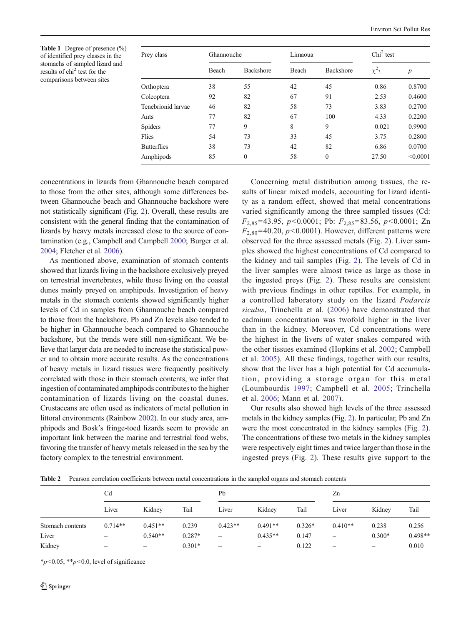<span id="page-3-0"></span>**Table 1** Degree of presence  $(\%)$ of identified prey classes in the stomachs of sampled lizard and results of chi<sup>2</sup> test for the comparisons between sites

| Prey class         | Ghannouche |                  | Limaoua |              | Chi <sup>2</sup> test |                  |
|--------------------|------------|------------------|---------|--------------|-----------------------|------------------|
|                    | Beach      | <b>Backshore</b> | Beach   | Backshore    | $\chi^2$ <sub>3</sub> | $\boldsymbol{p}$ |
| Orthoptera         | 38         | 55               | 42      | 45           | 0.86                  | 0.8700           |
| Coleoptera         | 92         | 82               | 67      | 91           | 2.53                  | 0.4600           |
| Tenebrionid larvae | 46         | 82               | 58      | 73           | 3.83                  | 0.2700           |
| Ants               | 77         | 82               | 67      | 100          | 4.33                  | 0.2200           |
| <b>Spiders</b>     | 77         | 9                | 8       | 9            | 0.021                 | 0.9900           |
| Flies              | 54         | 73               | 33      | 45           | 3.75                  | 0.2800           |
| <b>Butterflies</b> | 38         | 73               | 42      | 82           | 6.86                  | 0.0700           |
| Amphipods          | 85         | $\mathbf{0}$     | 58      | $\mathbf{0}$ | 27.50                 | < 0.0001         |

concentrations in lizards from Ghannouche beach compared to those from the other sites, although some differences between Ghannouche beach and Ghannouche backshore were not statistically significant (Fig. [2](#page-4-0)). Overall, these results are consistent with the general finding that the contamination of lizards by heavy metals increased close to the source of contamination (e.g., Campbell and Campbell [2000;](#page-4-0) Burger et al. [2004;](#page-4-0) Fletcher et al. [2006](#page-4-0)).

As mentioned above, examination of stomach contents showed that lizards living in the backshore exclusively preyed on terrestrial invertebrates, while those living on the coastal dunes mainly preyed on amphipods. Investigation of heavy metals in the stomach contents showed significantly higher levels of Cd in samples from Ghannouche beach compared to those from the backshore. Pb and Zn levels also tended to be higher in Ghannouche beach compared to Ghannouche backshore, but the trends were still non-significant. We believe that larger data are needed to increase the statistical power and to obtain more accurate results. As the concentrations of heavy metals in lizard tissues were frequently positively correlated with those in their stomach contents, we infer that ingestion of contaminated amphipods contributes to the higher contamination of lizards living on the coastal dunes. Crustaceans are often used as indicators of metal pollution in littoral environments (Rainbow [2002\)](#page-5-0). In our study area, amphipods and Bosk's fringe-toed lizards seem to provide an important link between the marine and terrestrial food webs, favoring the transfer of heavy metals released in the sea by the factory complex to the terrestrial environment.

Concerning metal distribution among tissues, the results of linear mixed models, accounting for lizard identity as a random effect, showed that metal concentrations varied significantly among the three sampled tissues (Cd:  $F_{2,85}$ =43.95, p<0.0001; Pb:  $F_{2,85}$ =83.56, p<0.0001; Zn  $F_{2,80}$ =40.20,  $p$ <0.0001). However, different patterns were observed for the three assessed metals (Fig. [2\)](#page-4-0). Liver samples showed the highest concentrations of Cd compared to the kidney and tail samples (Fig. [2\)](#page-4-0). The levels of Cd in the liver samples were almost twice as large as those in the ingested preys (Fig. [2\)](#page-4-0). These results are consistent with previous findings in other reptiles. For example, in a controlled laboratory study on the lizard Podarcis siculus, Trinchella et al. [\(2006](#page-5-0)) have demonstrated that cadmium concentration was twofold higher in the liver than in the kidney. Moreover, Cd concentrations were the highest in the livers of water snakes compared with the other tissues examined (Hopkins et al. [2002;](#page-5-0) Campbell et al. [2005\)](#page-4-0). All these findings, together with our results, show that the liver has a high potential for Cd accumulation, providing a storage organ for this metal (Loumbourdis [1997](#page-5-0); Campbell et al. [2005;](#page-4-0) Trinchella et al. [2006;](#page-5-0) Mann et al. [2007](#page-5-0)).

Our results also showed high levels of the three assessed metals in the kidney samples (Fig. [2](#page-4-0)). In particular, Pb and Zn were the most concentrated in the kidney samples (Fig. [2\)](#page-4-0). The concentrations of these two metals in the kidney samples were respectively eight times and twice larger than those in the ingested preys (Fig. [2](#page-4-0)). These results give support to the

Table 2 Pearson correlation coefficients between metal concentrations in the sampled organs and stomach contents

|                  | Cd                             |                          |          | Pb                       |                          |          | Zn                       |                          |           |
|------------------|--------------------------------|--------------------------|----------|--------------------------|--------------------------|----------|--------------------------|--------------------------|-----------|
|                  | Liver                          | Kidney                   | Tail     | Liver                    | Kidney                   | Tail     | Liver                    | Kidney                   | Tail      |
| Stomach contents | $0.714**$                      | $0.451**$                | 0.239    | $0.423**$                | $0.491**$                | $0.326*$ | $0.410**$                | 0.238                    | 0.256     |
| Liver            | $\qquad \qquad \longleftarrow$ | $0.540**$                | $0.287*$ | $\equiv$                 | $0.435**$                | 0.147    | $\overline{\phantom{0}}$ | $0.300*$                 | $0.498**$ |
| Kidney           | $\overline{\phantom{m}}$       | $\overline{\phantom{0}}$ | $0.301*$ | $\overline{\phantom{m}}$ | $\overline{\phantom{0}}$ | 0.122    | $\overline{\phantom{m}}$ | $\overline{\phantom{m}}$ | 0.010     |

 $*_{p<0.05;}$   $*_{p<0.0}$ , level of significance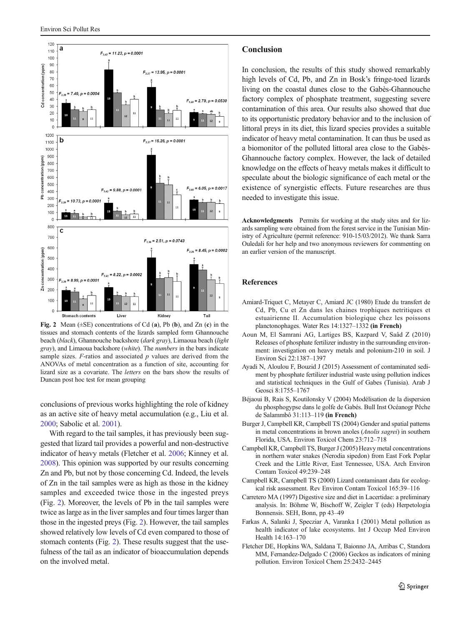<span id="page-4-0"></span>

Fig. 2 Mean  $(\pm SE)$  concentrations of Cd (a), Pb (b), and Zn (c) in the tissues and stomach contents of the lizards sampled form Ghannouche beach (black), Ghannouche backshore (dark gray), Limaoua beach (light gray), and Limaoua backshore (white). The numbers in the bars indicate sample sizes.  $F$ -ratios and associated  $p$  values are derived from the ANOVAs of metal concentration as a function of site, accounting for lizard size as a covariate. The letters on the bars show the results of Duncan post hoc test for mean grouping

conclusions of previous works highlighting the role of kidney as an active site of heavy metal accumulation (e.g., Liu et al. [2000;](#page-5-0) Sabolic et al. [2001\)](#page-5-0).

With regard to the tail samples, it has previously been suggested that lizard tail provides a powerful and non-destructive indicator of heavy metals (Fletcher et al. 2006; Kinney et al. [2008\)](#page-5-0). This opinion was supported by our results concerning Zn and Pb, but not by those concerning Cd. Indeed, the levels of Zn in the tail samples were as high as those in the kidney samples and exceeded twice those in the ingested preys (Fig. 2). Moreover, the levels of Pb in the tail samples were twice as large as in the liver samples and four times larger than those in the ingested preys (Fig. 2). However, the tail samples showed relatively low levels of Cd even compared to those of stomach contents (Fig. 2). These results suggest that the usefulness of the tail as an indicator of bioaccumulation depends on the involved metal.

## Conclusion

In conclusion, the results of this study showed remarkably high levels of Cd, Pb, and Zn in Bosk's fringe-toed lizards living on the coastal dunes close to the Gabès-Ghannouche factory complex of phosphate treatment, suggesting severe contamination of this area. Our results also showed that due to its opportunistic predatory behavior and to the inclusion of littoral preys in its diet, this lizard species provides a suitable indicator of heavy metal contamination. It can thus be used as a biomonitor of the polluted littoral area close to the Gabès-Ghannouche factory complex. However, the lack of detailed knowledge on the effects of heavy metals makes it difficult to speculate about the biologic significance of each metal or the existence of synergistic effects. Future researches are thus needed to investigate this issue.

Acknowledgments Permits for working at the study sites and for lizards sampling were obtained from the forest service in the Tunisian Ministry of Agriculture (permit reference: 910-15/03/2012). We thank Sarra Ouledali for her help and two anonymous reviewers for commenting on an earlier version of the manuscript.

#### References

- Amiard-Triquet C, Metayer C, Amiard JC (1980) Etude du transfert de Cd, Pb, Cu et Zn dans les chaines trophiques netritiques et estuairienne II. Accumulation biologique chez les poissons planctonophages. Water Res 14:1327–1332 (in French)
- Aoun M, El Samrani AG, Lartiges BS, Kazpard V, Saâd Z (2010) Releases of phosphate fertilizer industry in the surrounding environment: investigation on heavy metals and polonium-210 in soil. J Environ Sci 22:1387–1397
- Ayadi N, Aloulou F, Bouzid J (2015) Assessment of contaminated sediment by phosphate fertilizer industrial waste using pollution indices and statistical techniques in the Gulf of Gabes (Tunisia). Arab J Geosci 8:1755–1767
- Béjaoui B, Rais S, Koutilonsky V (2004) Modélisation de la dispersion du phosphogypse dans le golfe de Gabés. Bull Inst Océanogr Pêche de Salammbô 31:113–119 (in French)
- Burger J, Campbell KR, Campbell TS (2004) Gender and spatial patterns in metal concentrations in brown anoles (Anolis sagrei) in southern Florida, USA. Environ Toxicol Chem 23:712–718
- Campbell KR, Campbell TS, Burger J (2005) Heavy metal concentrations in northern water snakes (Nerodia sipedon) from East Fork Poplar Creek and the Little River, East Tennessee, USA. Arch Environ Contam Toxicol 49:239–248
- Campbell KR, Campbell TS (2000) Lizard contaminant data for ecological risk assessment. Rev Environ Contam Toxicol 165:39–116
- Carretero MA (1997) Digestive size and diet in Lacertidae: a preliminary analysis. In: Böhme W, Bischoff W, Zeigler T (eds) Herpetologia Bonnensis. SEH, Bonn, pp 43–49
- Farkas A, Salanki J, Specziar A, Varanka I (2001) Metal pollution as health indicator of lake ecosystems. Int J Occup Med Environ Health 14:163–170
- Fletcher DE, Hopkins WA, Saldana T, Baionno JA, Arribas C, Standora MM, Fernandez-Delgado C (2006) Geckos as indicators of mining pollution. Environ Toxicol Chem 25:2432–2445